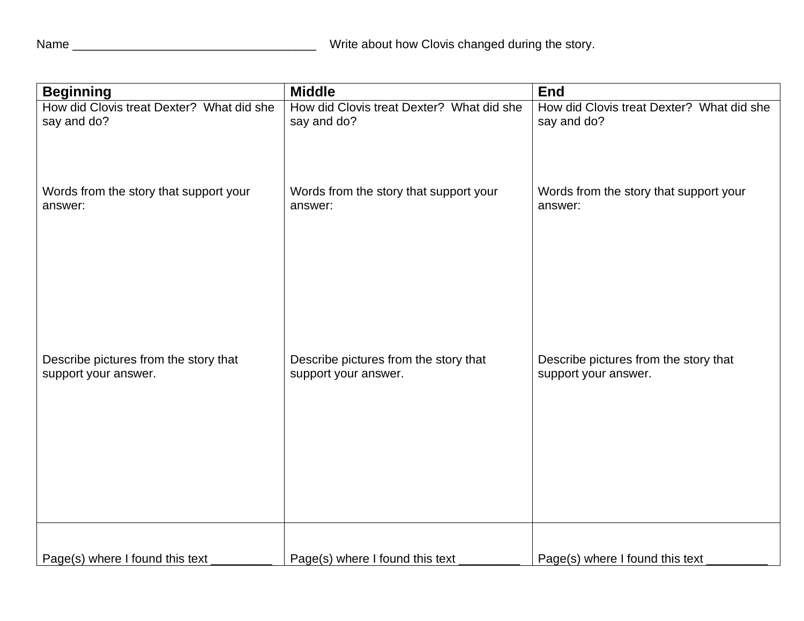| <b>Beginning</b>                          | <b>Middle</b>                             | <b>End</b>                                |
|-------------------------------------------|-------------------------------------------|-------------------------------------------|
| How did Clovis treat Dexter? What did she | How did Clovis treat Dexter? What did she | How did Clovis treat Dexter? What did she |
| say and do?                               | say and do?                               | say and do?                               |
| Words from the story that support your    | Words from the story that support your    | Words from the story that support your    |
| answer:                                   | answer:                                   | answer:                                   |
| Describe pictures from the story that     | Describe pictures from the story that     | Describe pictures from the story that     |
| support your answer.                      | support your answer.                      | support your answer.                      |
| Page(s) where I found this text           | Page(s) where I found this text           | Page(s) where I found this text           |